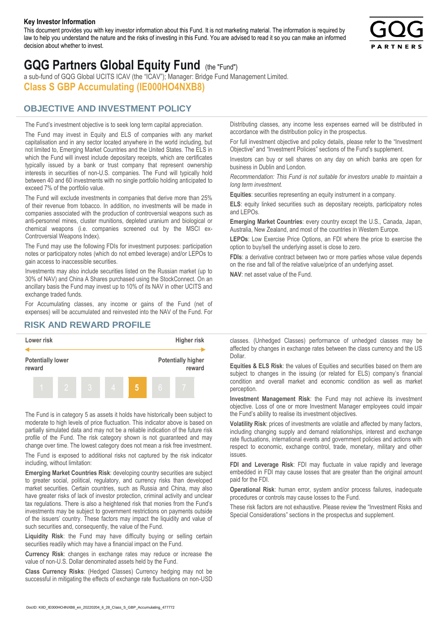#### **Key Investor Information**

This document provides you with key investor information about this Fund. It is not marketing material. The information is required by law to help you understand the nature and the risks of investing in this Fund. You are advised to read it so you can make an informed decision about whether to invest.



# **GQG Partners Global Equity Fund** (the "Fund")

a sub-fund of GQG Global UCITS ICAV (the "ICAV"); Manager: Bridge Fund Management Limited. **Class S GBP Accumulating (IE000HO4NXB8)**

## **OBJECTIVE AND INVESTMENT POLICY**

The Fund's investment objective is to seek long term capital appreciation. The Fund may invest in Equity and ELS of companies with any market capitalisation and in any sector located anywhere in the world including, but not limited to, Emerging Market Countries and the United States. The ELS in which the Fund will invest include depositary receipts, which are certificates typically issued by a bank or trust company that represent ownership interests in securities of non-U.S. companies. The Fund will typically hold between 40 and 60 investments with no single portfolio holding anticipated to exceed 7% of the portfolio value.

The Fund will exclude investments in companies that derive more than 25% of their revenue from tobacco. In addition, no investments will be made in companies associated with the production of controversial weapons such as anti-personnel mines, cluster munitions, depleted uranium and biological or chemical weapons (i.e. companies screened out by the MSCI ex-Controversial Weapons Index).

The Fund may use the following FDIs for investment purposes: participation notes or participatory notes (which do not embed leverage) and/or LEPOs to gain access to inaccessible securities.

Investments may also include securities listed on the Russian market (up to 30% of NAV) and China A Shares purchased using the StockConnect. On an ancillary basis the Fund may invest up to 10% of its NAV in other UCITS and exchange traded funds.

For Accumulating classes, any income or gains of the Fund (net of expenses) will be accumulated and reinvested into the NAV of the Fund. For Distributing classes, any income less expenses earned will be distributed in accordance with the distribution policy in the prospectus.

For full investment objective and policy details, please refer to the "Investment Objective" and "Investment Policies" sections of the Fund's supplement.

Investors can buy or sell shares on any day on which banks are open for business in Dublin and London.

*Recommendation: This Fund is not suitable for investors unable to maintain a long term investment.*

**Equities**: securities representing an equity instrument in a company.

**ELS**: equity linked securities such as depositary receipts, participatory notes and LEPOs.

**Emerging Market Countries**: every country except the U.S., Canada, Japan, Australia, New Zealand, and most of the countries in Western Europe.

**LEPOs**: Low Exercise Price Options, an FDI where the price to exercise the option to buy/sell the underlying asset is close to zero.

**FDIs**: a derivative contract between two or more parties whose value depends on the rise and fall of the relative value/price of an underlying asset.

**NAV**: net asset value of the Fund.

### **RISK AND REWARD PROFILE**



The Fund is in category 5 as assets it holds have historically been subject to moderate to high levels of price fluctuation. This indicator above is based on partially simulated data and may not be a reliable indication of the future risk profile of the Fund. The risk category shown is not guaranteed and may change over time. The lowest category does not mean a risk free investment.

The Fund is exposed to additional risks not captured by the risk indicator including, without limitation:

**Emerging Market Countries Risk**: developing country securities are subject to greater social, political, regulatory, and currency risks than developed market securities. Certain countries, such as Russia and China, may also have greater risks of lack of investor protection, criminal activity and unclear tax regulations. There is also a heightened risk that monies from the Fund's investments may be subject to government restrictions on payments outside of the issuers' country. These factors may impact the liquidity and value of such securities and, consequently, the value of the Fund.

**Liquidity Risk**: the Fund may have difficulty buying or selling certain securities readily which may have a financial impact on the Fund.

**Currency Risk**: changes in exchange rates may reduce or increase the value of non-U.S. Dollar denominated assets held by the Fund.

**Class Currency Risks**: (Hedged Classes) Currency hedging may not be successful in mitigating the effects of exchange rate fluctuations on non-USD classes. (Unhedged Classes) performance of unhedged classes may be affected by changes in exchange rates between the class currency and the US Dollar.

**Equities & ELS Risk**: the values of Equities and securities based on them are subject to changes in the issuing (or related for ELS) company's financial condition and overall market and economic condition as well as market perception.

**Investment Management Risk**: the Fund may not achieve its investment objective. Loss of one or more Investment Manager employees could impair the Fund's ability to realise its investment objectives.

**Volatility Risk**: prices of investments are volatile and affected by many factors, including changing supply and demand relationships, interest and exchange rate fluctuations, international events and government policies and actions with respect to economic, exchange control, trade, monetary, military and other issues.

**FDI and Leverage Risk**: FDI may fluctuate in value rapidly and leverage embedded in FDI may cause losses that are greater than the original amount paid for the FDI.

**Operational Risk**: human error, system and/or process failures, inadequate procedures or controls may cause losses to the Fund.

These risk factors are not exhaustive. Please review the "Investment Risks and Special Considerations" sections in the prospectus and supplement.